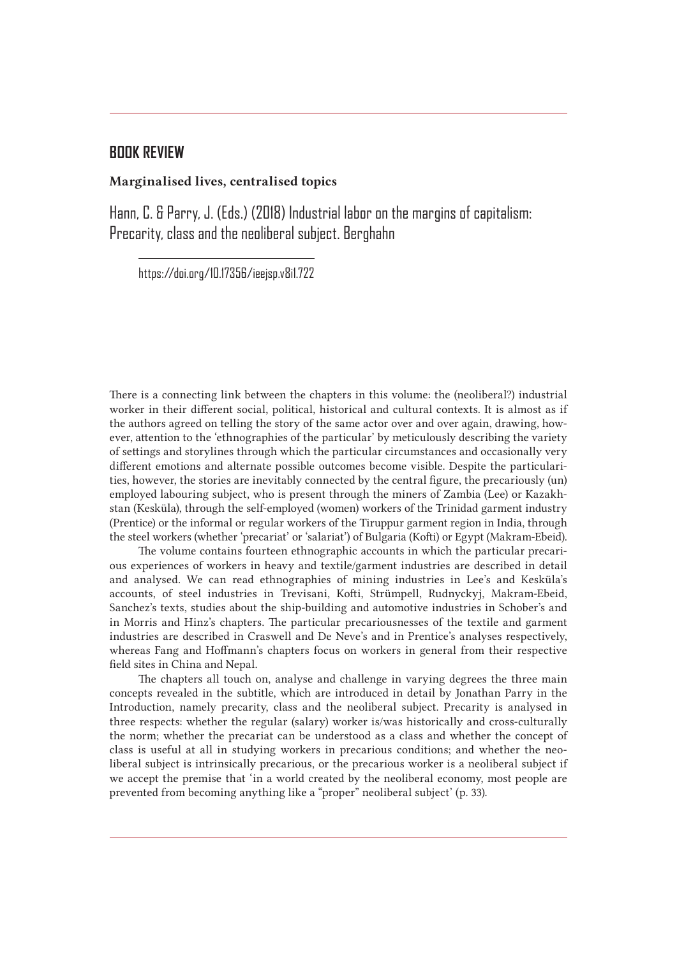## **BOOK REVIEW**

## Marginalised lives, centralised topics

Hann, C. & Parry, J. (Eds.) (2018) Industrial labor on the margins of capitalism: Precarity, class and the neoliberal subject. Berghahn

https://doi.org/10.17356/ieejsp.v8i1.722

There is a connecting link between the chapters in this volume: the (neoliberal?) industrial worker in their different social, political, historical and cultural contexts. It is almost as if the authors agreed on telling the story of the same actor over and over again, drawing, however, attention to the 'ethnographies of the particular' by meticulously describing the variety of settings and storylines through which the particular circumstances and occasionally very different emotions and alternate possible outcomes become visible. Despite the particularities, however, the stories are inevitably connected by the central figure, the precariously (un) employed labouring subject, who is present through the miners of Zambia (Lee) or Kazakhstan (Kesküla), through the self-employed (women) workers of the Trinidad garment industry (Prentice) or the informal or regular workers of the Tiruppur garment region in India, through the steel workers (whether 'precariat' or 'salariat') of Bulgaria (Kofti) or Egypt (Makram-Ebeid).

The volume contains fourteen ethnographic accounts in which the particular precarious experiences of workers in heavy and textile/garment industries are described in detail and analysed. We can read ethnographies of mining industries in Lee's and Kesküla's accounts, of steel industries in Trevisani, Kofti, Strümpell, Rudnyckyj, Makram-Ebeid, Sanchez's texts, studies about the ship-building and automotive industries in Schober's and in Morris and Hinz's chapters. The particular precariousnesses of the textile and garment industries are described in Craswell and De Neve's and in Prentice's analyses respectively, whereas Fang and Hoffmann's chapters focus on workers in general from their respective field sites in China and Nepal.

The chapters all touch on, analyse and challenge in varying degrees the three main concepts revealed in the subtitle, which are introduced in detail by Jonathan Parry in the Introduction, namely precarity, class and the neoliberal subject. Precarity is analysed in three respects: whether the regular (salary) worker is/was historically and cross-culturally the norm; whether the precariat can be understood as a class and whether the concept of class is useful at all in studying workers in precarious conditions; and whether the neoliberal subject is intrinsically precarious, or the precarious worker is a neoliberal subject if we accept the premise that 'in a world created by the neoliberal economy, most people are prevented from becoming anything like a "proper" neoliberal subject' (p. 33).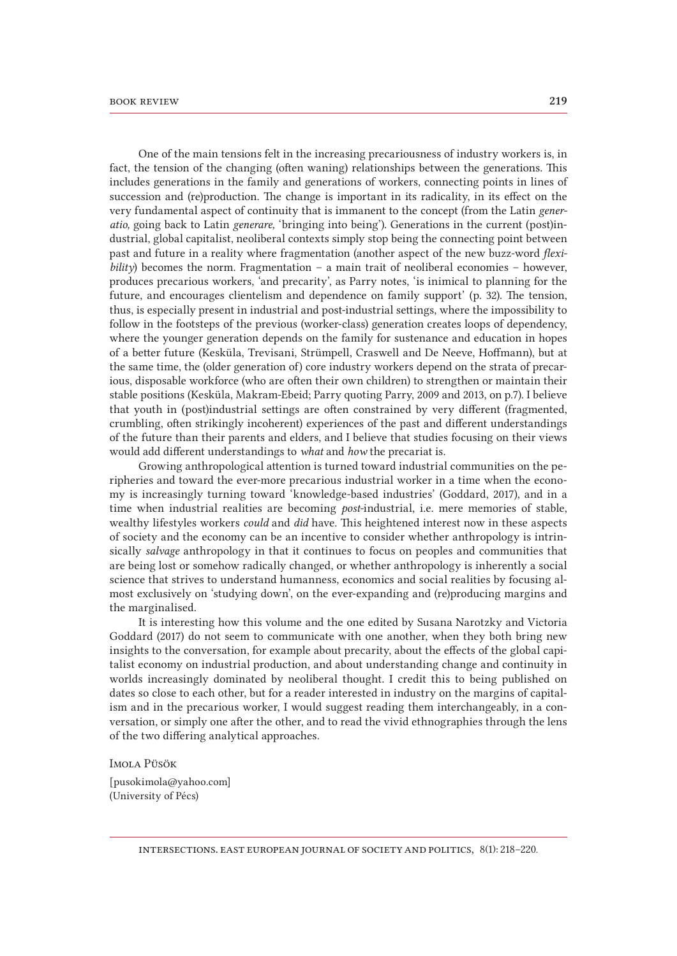One of the main tensions felt in the increasing precariousness of industry workers is, in fact, the tension of the changing (often waning) relationships between the generations. This includes generations in the family and generations of workers, connecting points in lines of succession and (re)production. The change is important in its radicality, in its effect on the very fundamental aspect of continuity that is immanent to the concept (from the Latin *generatio,* going back to Latin *generare,* 'bringing into being'). Generations in the current (post)industrial, global capitalist, neoliberal contexts simply stop being the connecting point between past and future in a reality where fragmentation (another aspect of the new buzz-word *flexi* $bility$ ) becomes the norm. Fragmentation – a main trait of neoliberal economies – however, produces precarious workers, 'and precarity', as Parry notes, 'is inimical to planning for the future, and encourages clientelism and dependence on family support' (p. 32). The tension, thus, is especially present in industrial and post-industrial settings, where the impossibility to follow in the footsteps of the previous (worker-class) generation creates loops of dependency, where the younger generation depends on the family for sustenance and education in hopes of a better future (Kesküla, Trevisani, Strümpell, Craswell and De Neeve, Hoffmann), but at the same time, the (older generation of) core industry workers depend on the strata of precarious, disposable workforce (who are often their own children) to strengthen or maintain their stable positions (Kesküla, Makram-Ebeid; Parry quoting Parry, 2009 and 2013, on p.7). I believe that youth in (post)industrial settings are often constrained by very different (fragmented, crumbling, often strikingly incoherent) experiences of the past and different understandings of the future than their parents and elders, and I believe that studies focusing on their views would add different understandings to *what* and *how* the precariat is.

Growing anthropological attention is turned toward industrial communities on the peripheries and toward the ever-more precarious industrial worker in a time when the economy is increasingly turning toward 'knowledge-based industries' (Goddard, 2017), and in a time when industrial realities are becoming *post-*industrial, i.e. mere memories of stable, wealthy lifestyles workers *could* and *did* have. This heightened interest now in these aspects of society and the economy can be an incentive to consider whether anthropology is intrinsically *salvage* anthropology in that it continues to focus on peoples and communities that are being lost or somehow radically changed, or whether anthropology is inherently a social science that strives to understand humanness, economics and social realities by focusing almost exclusively on 'studying down', on the ever-expanding and (re)producing margins and the marginalised.

It is interesting how this volume and the one edited by Susana Narotzky and Victoria Goddard (2017) do not seem to communicate with one another, when they both bring new insights to the conversation, for example about precarity, about the effects of the global capitalist economy on industrial production, and about understanding change and continuity in worlds increasingly dominated by neoliberal thought. I credit this to being published on dates so close to each other, but for a reader interested in industry on the margins of capitalism and in the precarious worker, I would suggest reading them interchangeably, in a conversation, or simply one after the other, and to read the vivid ethnographies through the lens of the two differing analytical approaches.

Imola Püsök

[pusokimola@yahoo.com] (University of Pécs)